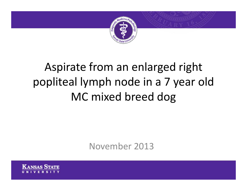

# Aspirate from an enlarged right popliteal lymph node in <sup>a</sup> 7 year old MC mixed breed dog

November 2013

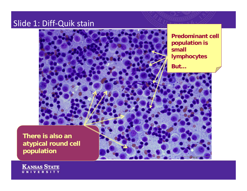#### Slide 1: Diff-Quik stain

small But...

**Predominant cell** population is **lymphocytes** 

There is also an atypical round cell population

**KANSAS STATE**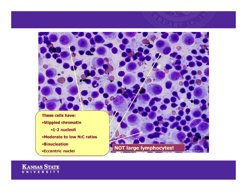

KANSAS STATE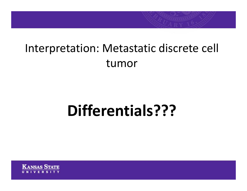## Interpretation: Metastatic discrete cell tumor

# **Differentials???**

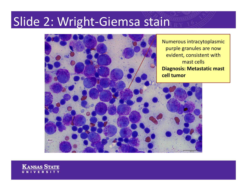### Slide 2: Wright‐Giemsa stain



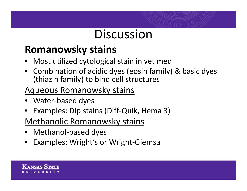### **Discussion**

#### **Romanowsky stains**

- •Most utilized cytological stain in vet med
- Combination of acidic dyes (eosin family) & basic dyes (thiazin family) to bind cell structures

#### Aqueous Romanowsky stains

- Water‐based dyes
- Examples: Dip stains (Diff‐Quik, Hema 3)

#### Methanolic Romanowsky stains

- Methanol‐based dyes
- Examples: Wright's or Wright‐Giemsa

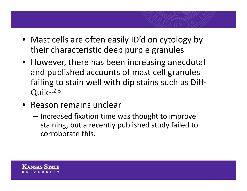- Mast cells are often easily ID'd on cytology by their characteristic deep purple granules
- However, there has been increasing anecdotal and published accounts of mast cell granules failing to stain well with dip stains such as Diff‐  $Q$ uik<sup>1,2,3</sup>
- Reason remains unclear
	- and the state of the  $-$  Increased fixation time was thought to improve staining, but <sup>a</sup> recently published study failed to corroborate this.